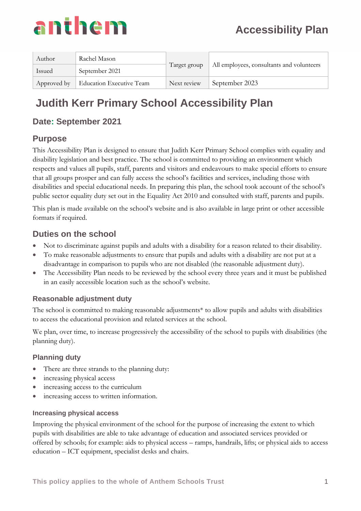| Author        | Rachel Mason             | Target group |                                           |  |
|---------------|--------------------------|--------------|-------------------------------------------|--|
| <b>Issued</b> | September 2021           |              | All employees, consultants and volunteers |  |
| Approved by   | Education Executive Team | Next review  | September 2023                            |  |

## **Judith Kerr Primary School Accessibility Plan**

### **Date: September 2021**

#### **Purpose**

This Accessibility Plan is designed to ensure that Judith Kerr Primary School complies with equality and disability legislation and best practice. The school is committed to providing an environment which respects and values all pupils, staff, parents and visitors and endeavours to make special efforts to ensure that all groups prosper and can fully access the school's facilities and services, including those with disabilities and special educational needs. In preparing this plan, the school took account of the school's public sector equality duty set out in the Equality Act 2010 and consulted with staff, parents and pupils.

This plan is made available on the school's website and is also available in large print or other accessible formats if required.

#### **Duties on the school**

- Not to discriminate against pupils and adults with a disability for a reason related to their disability.
- To make reasonable adjustments to ensure that pupils and adults with a disability are not put at a disadvantage in comparison to pupils who are not disabled (the reasonable adjustment duty).
- The Accessibility Plan needs to be reviewed by the school every three years and it must be published in an easily accessible location such as the school's website.

#### **Reasonable adjustment duty**

The school is committed to making reasonable adjustments\* to allow pupils and adults with disabilities to access the educational provision and related services at the school.

We plan, over time, to increase progressively the accessibility of the school to pupils with disabilities (the planning duty).

#### **Planning duty**

- There are three strands to the planning duty:
- increasing physical access
- increasing access to the curriculum
- increasing access to written information.

#### **Increasing physical access**

Improving the physical environment of the school for the purpose of increasing the extent to which pupils with disabilities are able to take advantage of education and associated services provided or offered by schools; for example: aids to physical access – ramps, handrails, lifts; or physical aids to access education – ICT equipment, specialist desks and chairs.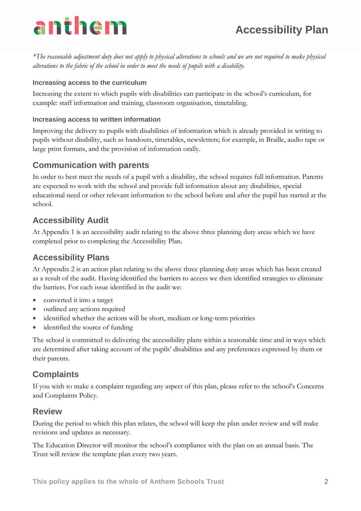*\*The reasonable adjustment duty does not apply to physical alterations to schools and we are not required to make physical alterations to the fabric of the school in order to meet the needs of pupils with a disability.*

#### **Increasing access to the curriculum**

Increasing the extent to which pupils with disabilities can participate in the school's curriculum, for example: staff information and training, classroom organisation, timetabling.

#### **Increasing access to written information**

Improving the delivery to pupils with disabilities of information which is already provided in writing to pupils without disability, such as handouts, timetables, newsletters; for example, in Braille, audio tape or large print formats, and the provision of information orally.

#### **Communication with parents**

In order to best meet the needs of a pupil with a disability, the school requires full information. Parents are expected to work with the school and provide full information about any disabilities, special educational need or other relevant information to the school before and after the pupil has started at the school.

#### **Accessibility Audit**

At Appendix 1 is an accessibility audit relating to the above three planning duty areas which we have completed prior to completing the Accessibility Plan.

#### **Accessibility Plans**

At Appendix 2 is an action plan relating to the above three planning duty areas which has been created as a result of the audit. Having identified the barriers to access we then identified strategies to eliminate the barriers. For each issue identified in the audit we:

- converted it into a target
- outlined any actions required
- identified whether the actions will be short, medium or long-term priorities
- identified the source of funding

The school is committed to delivering the accessibility plans within a reasonable time and in ways which are determined after taking account of the pupils' disabilities and any preferences expressed by them or their parents.

#### **Complaints**

If you wish to make a complaint regarding any aspect of this plan, please refer to the school's Concerns and Complaints Policy.

#### **Review**

During the period to which this plan relates, the school will keep the plan under review and will make revisions and updates as necessary.

The Education Director will monitor the school's compliance with the plan on an annual basis. The Trust will review the template plan every two years.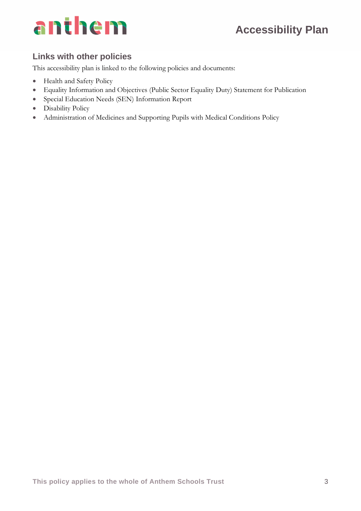## **Accessibility Plan**

# anthem

### **Links with other policies**

This accessibility plan is linked to the following policies and documents:

- Health and Safety Policy
- Equality Information and Objectives (Public Sector Equality Duty) Statement for Publication
- Special Education Needs (SEN) Information Report
- Disability Policy
- Administration of Medicines and Supporting Pupils with Medical Conditions Policy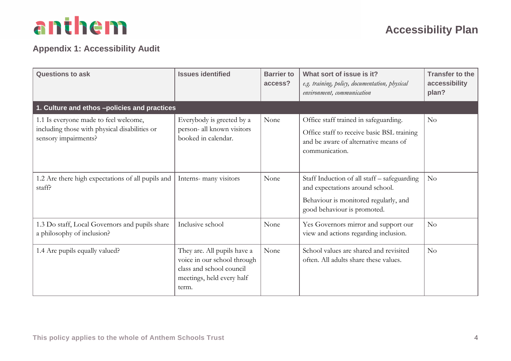### **Appendix 1: Accessibility Audit**

| <b>Questions to ask</b>                                                                                        | <b>Issues identified</b>                                                                                                     | <b>Barrier to</b><br>access? | What sort of issue is it?<br>e.g. training, policy, documentation, physical<br>environment, communication                                              | <b>Transfer to the</b><br>accessibility<br>plan? |
|----------------------------------------------------------------------------------------------------------------|------------------------------------------------------------------------------------------------------------------------------|------------------------------|--------------------------------------------------------------------------------------------------------------------------------------------------------|--------------------------------------------------|
| 1. Culture and ethos -policies and practices                                                                   |                                                                                                                              |                              |                                                                                                                                                        |                                                  |
| 1.1 Is everyone made to feel welcome,<br>including those with physical disabilities or<br>sensory impairments? | Everybody is greeted by a<br>person- all known visitors<br>booked in calendar.                                               | None                         | Office staff trained in safeguarding.<br>Office staff to receive basic BSL training<br>and be aware of alternative means of<br>communication.          | No                                               |
| 1.2 Are there high expectations of all pupils and<br>staff?                                                    | Interns- many visitors                                                                                                       | None                         | Staff Induction of all staff – safeguarding<br>and expectations around school.<br>Behaviour is monitored regularly, and<br>good behaviour is promoted. | $\rm No$                                         |
| 1.3 Do staff, Local Governors and pupils share<br>a philosophy of inclusion?                                   | Inclusive school                                                                                                             | None                         | Yes Governors mirror and support our<br>view and actions regarding inclusion.                                                                          | No                                               |
| 1.4 Are pupils equally valued?                                                                                 | They are. All pupils have a<br>voice in our school through<br>class and school council<br>meetings, held every half<br>term. | None                         | School values are shared and revisited<br>often. All adults share these values.                                                                        | $\rm No$                                         |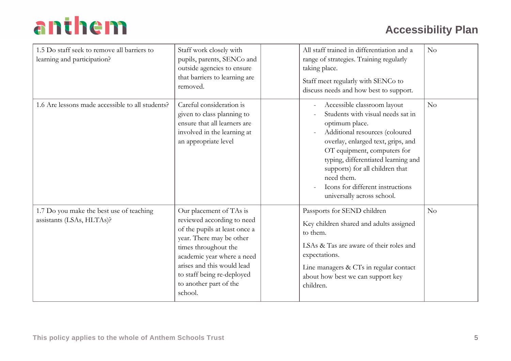| 1.5 Do staff seek to remove all barriers to<br>learning and participation? | Staff work closely with<br>pupils, parents, SENCo and<br>outside agencies to ensure<br>that barriers to learning are<br>removed.                                                                                                                                          | All staff trained in differentiation and a<br>range of strategies. Training regularly<br>taking place.<br>Staff meet regularly with SENCo to<br>discuss needs and how best to support.                                                     |                                                                                                                                                                                                                                                                                       | No |
|----------------------------------------------------------------------------|---------------------------------------------------------------------------------------------------------------------------------------------------------------------------------------------------------------------------------------------------------------------------|--------------------------------------------------------------------------------------------------------------------------------------------------------------------------------------------------------------------------------------------|---------------------------------------------------------------------------------------------------------------------------------------------------------------------------------------------------------------------------------------------------------------------------------------|----|
| 1.6 Are lessons made accessible to all students?                           | Careful consideration is<br>given to class planning to<br>ensure that all learners are<br>involved in the learning at<br>an appropriate level                                                                                                                             | optimum place.<br>need them.<br>universally across school.                                                                                                                                                                                 | Accessible classroom layout<br>Students with visual needs sat in<br>Additional resources (coloured<br>overlay, enlarged text, grips, and<br>OT equipment, computers for<br>typing, differentiated learning and<br>supports) for all children that<br>Icons for different instructions | No |
| 1.7 Do you make the best use of teaching<br>assistants (LSAs, HLTAs)?      | Our placement of TAs is<br>reviewed according to need<br>of the pupils at least once a<br>year. There may be other<br>times throughout the<br>academic year where a need<br>arises and this would lead<br>to staff being re-deployed<br>to another part of the<br>school. | Passports for SEND children<br>Key children shared and adults assigned<br>to them.<br>LSAs & Tas are aware of their roles and<br>expectations.<br>Line managers & CTs in regular contact<br>about how best we can support key<br>children. |                                                                                                                                                                                                                                                                                       | No |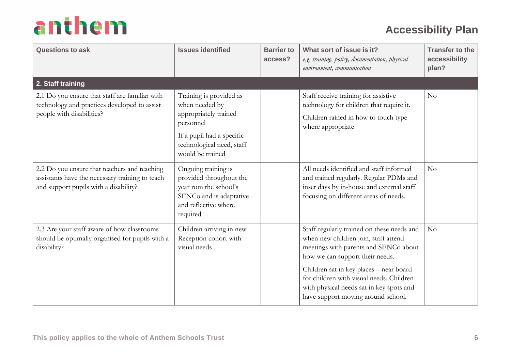| <b>Questions to ask</b>                                                                                                                  | <b>Issues identified</b>                                                                                                                                      | <b>Barrier to</b><br>access? | What sort of issue is it?<br>e.g. training, policy, documentation, physical<br>environment, communication                                                                                                                                                                                                                               | <b>Transfer to the</b><br>accessibility<br>plan? |
|------------------------------------------------------------------------------------------------------------------------------------------|---------------------------------------------------------------------------------------------------------------------------------------------------------------|------------------------------|-----------------------------------------------------------------------------------------------------------------------------------------------------------------------------------------------------------------------------------------------------------------------------------------------------------------------------------------|--------------------------------------------------|
| 2. Staff training                                                                                                                        |                                                                                                                                                               |                              |                                                                                                                                                                                                                                                                                                                                         |                                                  |
| 2.1 Do you ensure that staff are familiar with<br>technology and practices developed to assist<br>people with disabilities?              | Training is provided as<br>when needed by<br>appropriately trained<br>personnel<br>If a pupil had a specific<br>technological need, staff<br>would be trained |                              | Staff receive training for assistive<br>technology for children that require it.<br>Children rained in how to touch type<br>where appropriate                                                                                                                                                                                           | No                                               |
| 2.2 Do you ensure that teachers and teaching<br>assistants have the necessary training to teach<br>and support pupils with a disability? | Ongoing training is<br>provided throughout the<br>year rom the school's<br>SENCo and is adaptative<br>and reflective where<br>required                        |                              | All needs identified and staff informed<br>and trained regularly. Regular PDMs and<br>inset days by in-house and external staff<br>focusing on different areas of needs.                                                                                                                                                                | No                                               |
| 2.3 Are your staff aware of how classrooms<br>should be optimally organised for pupils with a<br>disability?                             | Children arriving in new<br>Reception cohort with<br>visual needs                                                                                             |                              | Staff regularly trained on these needs and<br>when new children join, staff attend<br>meetings with parents and SENCo about<br>how we can support their needs.<br>Children sat in key places - near board<br>for children with visual needs. Children<br>with physical needs sat in key spots and<br>have support moving around school. | No                                               |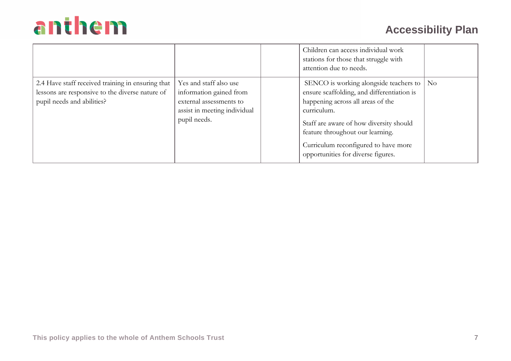|                                                                                                                                    |                                                                                                                              | Children can access individual work<br>stations for those that struggle with<br>attention due to needs.                                                                                                                                                                                                    |  |
|------------------------------------------------------------------------------------------------------------------------------------|------------------------------------------------------------------------------------------------------------------------------|------------------------------------------------------------------------------------------------------------------------------------------------------------------------------------------------------------------------------------------------------------------------------------------------------------|--|
| 2.4 Have staff received training in ensuring that<br>lessons are responsive to the diverse nature of<br>pupil needs and abilities? | Yes and staff also use<br>information gained from<br>external assessments to<br>assist in meeting individual<br>pupil needs. | SENCO is working alongside teachers to   No<br>ensure scaffolding, and differentiation is<br>happening across all areas of the<br>curriculum.<br>Staff are aware of how diversity should<br>feature throughout our learning.<br>Curriculum reconfigured to have more<br>opportunities for diverse figures. |  |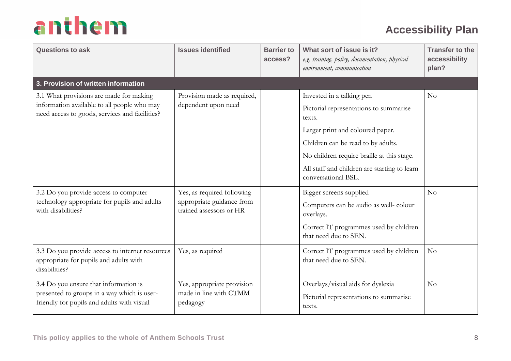| <b>Questions to ask</b>                                                                                                            | <b>Issues identified</b>                                         | <b>Barrier to</b><br>access? | What sort of issue is it?<br>e.g. training, policy, documentation, physical<br>environment, communication | <b>Transfer to the</b><br>accessibility<br>plan? |
|------------------------------------------------------------------------------------------------------------------------------------|------------------------------------------------------------------|------------------------------|-----------------------------------------------------------------------------------------------------------|--------------------------------------------------|
| 3. Provision of written information                                                                                                |                                                                  |                              |                                                                                                           |                                                  |
| 3.1 What provisions are made for making                                                                                            | Provision made as required,                                      |                              | Invested in a talking pen                                                                                 | No                                               |
| information available to all people who may<br>need access to goods, services and facilities?                                      | dependent upon need                                              |                              | Pictorial representations to summarise<br>texts.                                                          |                                                  |
|                                                                                                                                    |                                                                  |                              | Larger print and coloured paper.                                                                          |                                                  |
|                                                                                                                                    |                                                                  |                              | Children can be read to by adults.                                                                        |                                                  |
|                                                                                                                                    |                                                                  |                              | No children require braille at this stage.                                                                |                                                  |
|                                                                                                                                    |                                                                  |                              | All staff and children are starting to learn<br>conversational BSL.                                       |                                                  |
| 3.2 Do you provide access to computer                                                                                              | Yes, as required following                                       |                              | Bigger screens supplied                                                                                   | No                                               |
| technology appropriate for pupils and adults<br>with disabilities?                                                                 | appropriate guidance from<br>trained assessors or HR             |                              | Computers can be audio as well-colour<br>overlays.                                                        |                                                  |
|                                                                                                                                    |                                                                  |                              | Correct IT programmes used by children<br>that need due to SEN.                                           |                                                  |
| 3.3 Do you provide access to internet resources<br>appropriate for pupils and adults with<br>disabilities?                         | Yes, as required                                                 |                              | Correct IT programmes used by children<br>that need due to SEN.                                           | No                                               |
| 3.4 Do you ensure that information is<br>presented to groups in a way which is user-<br>friendly for pupils and adults with visual | Yes, appropriate provision<br>made in line with CTMM<br>pedagogy |                              | Overlays/visual aids for dyslexia<br>Pictorial representations to summarise<br>texts.                     | No                                               |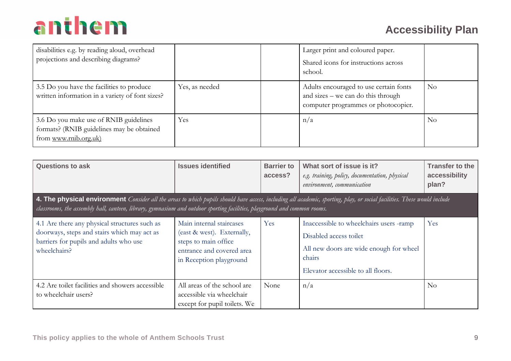| disabilities e.g. by reading aloud, overhead<br>projections and describing diagrams?                         |                | Larger print and coloured paper.<br>Shared icons for instructions across<br>school.                                 |          |
|--------------------------------------------------------------------------------------------------------------|----------------|---------------------------------------------------------------------------------------------------------------------|----------|
| 3.5 Do you have the facilities to produce<br>written information in a variety of font sizes?                 | Yes, as needed | Adults encouraged to use certain fonts<br>and sizes – we can do this through<br>computer programmes or photocopier. | $\rm No$ |
| 3.6 Do you make use of RNIB guidelines<br>formats? (RNIB guidelines may be obtained<br>from www.rnib.org.uk) | Yes            | n/a                                                                                                                 | No       |

| <b>Questions to ask</b>                                                                                                                                                                                                                                                                                     | <b>Issues identified</b>                                                                                                               | <b>Barrier to</b><br>access? | What sort of issue is it?<br>e.g. training, policy, documentation, physical<br>environment, communication                                                    | <b>Transfer to the</b><br>accessibility<br>plan? |
|-------------------------------------------------------------------------------------------------------------------------------------------------------------------------------------------------------------------------------------------------------------------------------------------------------------|----------------------------------------------------------------------------------------------------------------------------------------|------------------------------|--------------------------------------------------------------------------------------------------------------------------------------------------------------|--------------------------------------------------|
| <b>4. The physical environment</b> Consider all the areas to which pupils should have access, including all academic, sporting, play, or social facilities. These would include<br>classrooms, the assembly hall, canteen, library, gymnasium and outdoor sporting facilities, playground and common rooms. |                                                                                                                                        |                              |                                                                                                                                                              |                                                  |
| 4.1 Are there any physical structures such as<br>doorways, steps and stairs which may act as<br>barriers for pupils and adults who use<br>wheelchairs?                                                                                                                                                      | Main internal staircases<br>(east & west). Externally,<br>steps to main office<br>entrance and covered area<br>in Reception playground | Yes                          | Inaccessible to wheelchairs users -ramp<br>Disabled access toilet<br>All new doors are wide enough for wheel<br>chairs<br>Elevator accessible to all floors. | Yes                                              |
| 4.2 Are toilet facilities and showers accessible<br>to wheelchair users?                                                                                                                                                                                                                                    | All areas of the school are<br>accessible via wheelchair<br>except for pupil toilets. We                                               | None                         | n/a                                                                                                                                                          | $\rm No$                                         |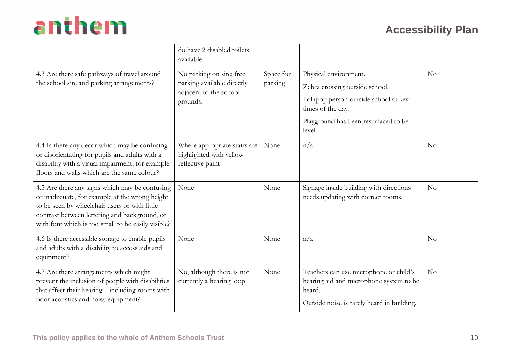|                                                                                                                                                                                                                                                          | do have 2 disabled toilets<br>available.                                                     |                      |                                                                                                                                                                         |                |
|----------------------------------------------------------------------------------------------------------------------------------------------------------------------------------------------------------------------------------------------------------|----------------------------------------------------------------------------------------------|----------------------|-------------------------------------------------------------------------------------------------------------------------------------------------------------------------|----------------|
| 4.3 Are there safe pathways of travel around<br>the school site and parking arrangements?                                                                                                                                                                | No parking on site; free<br>parking available directly<br>adjacent to the school<br>grounds. | Space for<br>parking | Physical environment.<br>Zebra crossing outside school.<br>Lollipop person outside school at key<br>times of the day.<br>Playground has been resurfaced to be<br>level. | No             |
| 4.4 Is there any decor which may be confusing<br>or disorientating for pupils and adults with a<br>disability with a visual impairment, for example<br>floors and walls which are the same colour?                                                       | Where appropriate stairs are<br>highlighted with yellow<br>reflective paint                  | None                 | n/a                                                                                                                                                                     | N <sub>o</sub> |
| 4.5 Are there any signs which may be confusing<br>or inadequate, for example at the wrong height<br>to be seen by wheelchair users or with little<br>contrast between lettering and background, or<br>with font which is too small to be easily visible? | None                                                                                         | None                 | Signage inside building with directions<br>needs updating with correct rooms.                                                                                           | No             |
| 4.6 Is there accessible storage to enable pupils<br>and adults with a disability to access aids and<br>equipment?                                                                                                                                        | None                                                                                         | None                 | n/a                                                                                                                                                                     | No             |
| 4.7 Are there arrangements which might<br>prevent the inclusion of people with disabilities<br>that affect their hearing - including rooms with<br>poor acoustics and noisy equipment?                                                                   | No, although there is not<br>currently a hearing loop                                        | None                 | Teachers can use microphone or child's<br>hearing aid and microphone system to be<br>heard.<br>Outside noise is rarely heard in building.                               | No             |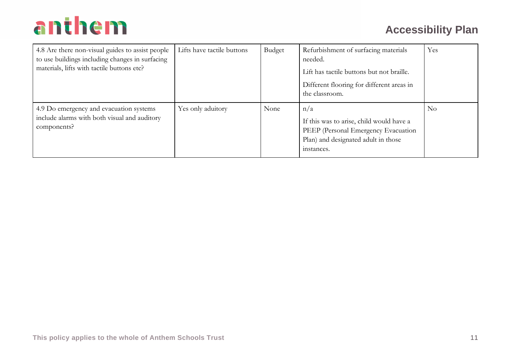| 4.8 Are there non-visual guides to assist people<br>to use buildings including changes in surfacing<br>materials, lifts with tactile buttons etc? | Lifts have tactile buttons | Budget | Refurbishment of surfacing materials<br>needed.<br>Lift has tactile buttons but not braille.<br>Different flooring for different areas in<br>the classroom. | Yes      |
|---------------------------------------------------------------------------------------------------------------------------------------------------|----------------------------|--------|-------------------------------------------------------------------------------------------------------------------------------------------------------------|----------|
| 4.9 Do emergency and evacuation systems<br>include alarms with both visual and auditory<br>components?                                            | Yes only aduitory          | None   | n/a<br>If this was to arise, child would have a<br>PEEP (Personal Emergency Evacuation<br>Plan) and designated adult in those<br>instances.                 | $\rm No$ |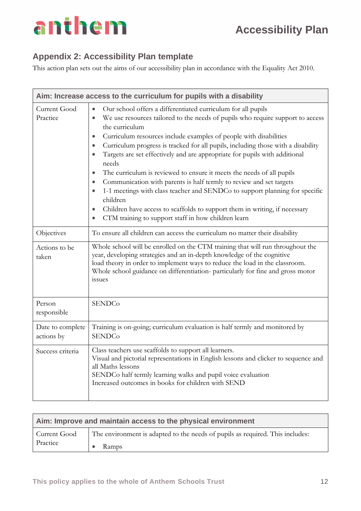### **Appendix 2: Accessibility Plan template**

This action plan sets out the aims of our accessibility plan in accordance with the Equality Act 2010.

|                                | Aim: Increase access to the curriculum for pupils with a disability                                                                                                                                                                                                                                                                                                                                                                                                                                                                                                                                                                                                                                                                                                                                                                                                                                                                |
|--------------------------------|------------------------------------------------------------------------------------------------------------------------------------------------------------------------------------------------------------------------------------------------------------------------------------------------------------------------------------------------------------------------------------------------------------------------------------------------------------------------------------------------------------------------------------------------------------------------------------------------------------------------------------------------------------------------------------------------------------------------------------------------------------------------------------------------------------------------------------------------------------------------------------------------------------------------------------|
| Current Good<br>Practice       | Our school offers a differentiated curriculum for all pupils<br>$\bullet$<br>We use resources tailored to the needs of pupils who require support to access<br>$\bullet$<br>the curriculum<br>Curriculum resources include examples of people with disabilities<br>$\bullet$<br>Curriculum progress is tracked for all pupils, including those with a disability<br>$\bullet$<br>Targets are set effectively and are appropriate for pupils with additional<br>$\bullet$<br>needs<br>The curriculum is reviewed to ensure it meets the needs of all pupils<br>$\bullet$<br>Communication with parents is half termly to review and set targets<br>$\bullet$<br>1-1 meetings with class teacher and SENDCo to support planning for specific<br>$\bullet$<br>children<br>Children have access to scaffolds to support them in writing, if necessary<br>$\bullet$<br>CTM training to support staff in how children learn<br>$\bullet$ |
| Objectives                     | To ensure all children can access the curriculum no matter their disability                                                                                                                                                                                                                                                                                                                                                                                                                                                                                                                                                                                                                                                                                                                                                                                                                                                        |
| Actions to be<br>taken         | Whole school will be enrolled on the CTM training that will run throughout the<br>year, developing strategies and an in-depth knowledge of the cognitive<br>load theory in order to implement ways to reduce the load in the classroom.<br>Whole school guidance on differentiation- particularly for fine and gross motor<br>issues                                                                                                                                                                                                                                                                                                                                                                                                                                                                                                                                                                                               |
| Person<br>responsible          | <b>SENDCo</b>                                                                                                                                                                                                                                                                                                                                                                                                                                                                                                                                                                                                                                                                                                                                                                                                                                                                                                                      |
| Date to complete<br>actions by | Training is on-going; curriculum evaluation is half termly and monitored by<br><b>SENDCo</b>                                                                                                                                                                                                                                                                                                                                                                                                                                                                                                                                                                                                                                                                                                                                                                                                                                       |
| Success criteria               | Class teachers use scaffolds to support all learners.<br>Visual and pictorial representations in English lessons and clicker to sequence and<br>all Maths lessons<br>SENDCo half termly learning walks and pupil voice evaluation<br>Increased outcomes in books for children with SEND                                                                                                                                                                                                                                                                                                                                                                                                                                                                                                                                                                                                                                            |

| Aim: Improve and maintain access to the physical environment |                                                                               |  |  |  |
|--------------------------------------------------------------|-------------------------------------------------------------------------------|--|--|--|
| Current Good                                                 | The environment is adapted to the needs of pupils as required. This includes: |  |  |  |
| Practice                                                     | Ramps                                                                         |  |  |  |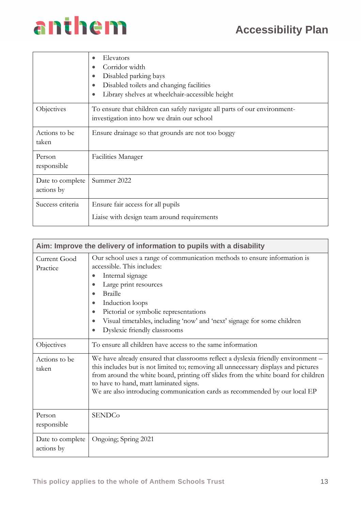## **Accessibility Plan**

# anthem

|                                | Elevators<br>$\bullet$<br>Corridor width<br>Disabled parking bays<br>$\bullet$<br>Disabled toilets and changing facilities<br>$\bullet$<br>Library shelves at wheelchair-accessible height<br>$\bullet$ |
|--------------------------------|---------------------------------------------------------------------------------------------------------------------------------------------------------------------------------------------------------|
| Objectives                     | To ensure that children can safely navigate all parts of our environment-<br>investigation into how we drain our school                                                                                 |
| Actions to be<br>taken         | Ensure drainage so that grounds are not too boggy                                                                                                                                                       |
| Person<br>responsible          | <b>Facilities Manager</b>                                                                                                                                                                               |
| Date to complete<br>actions by | Summer 2022                                                                                                                                                                                             |
| Success criteria               | Ensure fair access for all pupils<br>Liaise with design team around requirements                                                                                                                        |

| Aim: Improve the delivery of information to pupils with a disability |                                                                                                                                                                                                                                                                                                                                                                                                                             |  |
|----------------------------------------------------------------------|-----------------------------------------------------------------------------------------------------------------------------------------------------------------------------------------------------------------------------------------------------------------------------------------------------------------------------------------------------------------------------------------------------------------------------|--|
| Current Good<br>Practice                                             | Our school uses a range of communication methods to ensure information is<br>accessible. This includes:<br>Internal signage<br>$\bullet$<br>Large print resources<br>$\bullet$<br><b>Braille</b><br>$\bullet$<br>Induction loops<br>$\bullet$<br>Pictorial or symbolic representations<br>$\bullet$<br>Visual timetables, including 'now' and 'next' signage for some children<br>$\bullet$<br>Dyslexic friendly classrooms |  |
| Objectives                                                           | To ensure all children have access to the same information                                                                                                                                                                                                                                                                                                                                                                  |  |
| Actions to be<br>taken                                               | We have already ensured that classrooms reflect a dyslexia friendly environment -<br>this includes but is not limited to; removing all unnecessary displays and pictures<br>from around the white board, printing off slides from the white board for children<br>to have to hand, matt laminated signs.<br>We are also introducing communication cards as recommended by our local EP                                      |  |
| Person<br>responsible                                                | <b>SENDCo</b>                                                                                                                                                                                                                                                                                                                                                                                                               |  |
| Date to complete<br>actions by                                       | Ongoing; Spring 2021                                                                                                                                                                                                                                                                                                                                                                                                        |  |